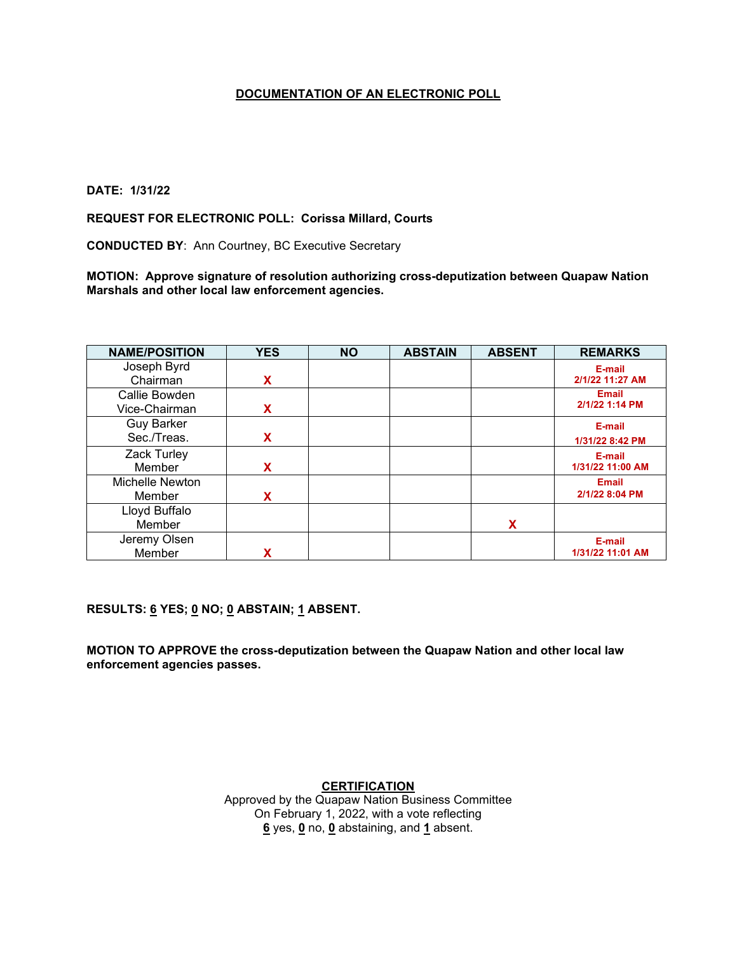## **DATE: 1/31/22**

## **REQUEST FOR ELECTRONIC POLL: Corissa Millard, Courts**

**CONDUCTED BY**: Ann Courtney, BC Executive Secretary

**MOTION: Approve signature of resolution authorizing cross-deputization between Quapaw Nation Marshals and other local law enforcement agencies.**

| <b>NAME/POSITION</b> | <b>YES</b> | <b>NO</b> | <b>ABSTAIN</b> | <b>ABSENT</b> | <b>REMARKS</b>   |
|----------------------|------------|-----------|----------------|---------------|------------------|
| Joseph Byrd          |            |           |                |               | E-mail           |
| Chairman             | x          |           |                |               | 2/1/22 11:27 AM  |
| Callie Bowden        |            |           |                |               | <b>Email</b>     |
| Vice-Chairman        | X          |           |                |               | 2/1/22 1:14 PM   |
| <b>Guy Barker</b>    |            |           |                |               | E-mail           |
| Sec./Treas.          | x          |           |                |               | 1/31/22 8:42 PM  |
| Zack Turley          |            |           |                |               | E-mail           |
| Member               | X          |           |                |               | 1/31/22 11:00 AM |
| Michelle Newton      |            |           |                |               | <b>Email</b>     |
| Member               | x          |           |                |               | 2/1/22 8:04 PM   |
| Lloyd Buffalo        |            |           |                |               |                  |
| Member               |            |           |                | X             |                  |
| Jeremy Olsen         |            |           |                |               | E-mail           |
| Member               | χ          |           |                |               | 1/31/22 11:01 AM |

**RESULTS: 6 YES; 0 NO; 0 ABSTAIN; 1 ABSENT.** 

**MOTION TO APPROVE the cross-deputization between the Quapaw Nation and other local law enforcement agencies passes.**

> **CERTIFICATION** Approved by the Quapaw Nation Business Committee On February 1, 2022, with a vote reflecting **6** yes, **0** no, **0** abstaining, and **1** absent.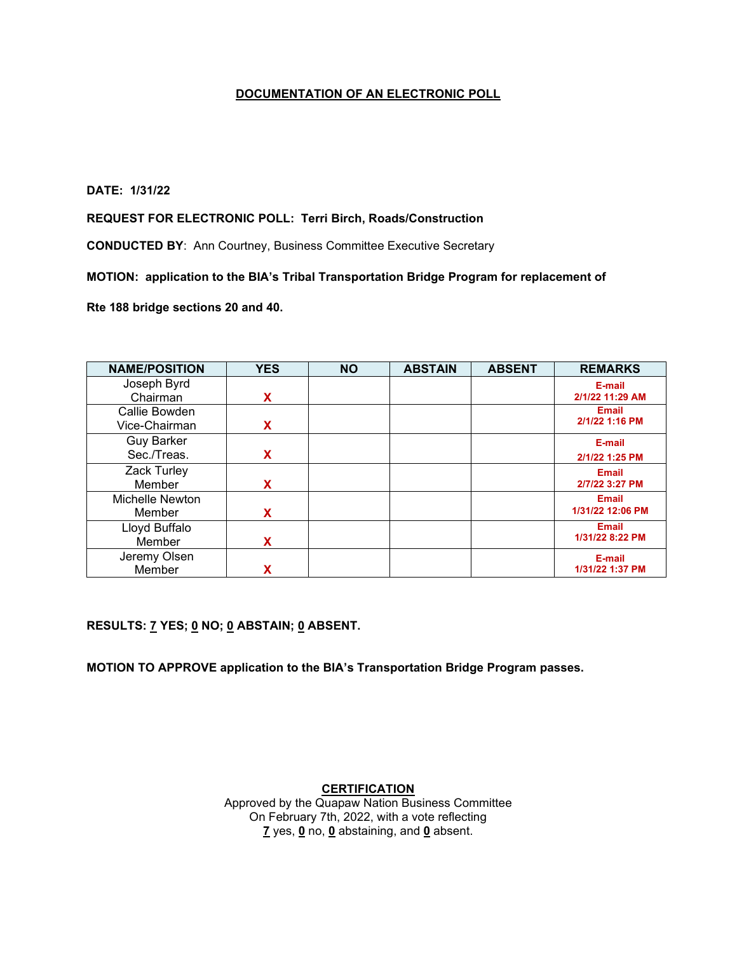## **DATE: 1/31/22**

#### **REQUEST FOR ELECTRONIC POLL: Terri Birch, Roads/Construction**

**CONDUCTED BY**: Ann Courtney, Business Committee Executive Secretary

## **MOTION: application to the BIA's Tribal Transportation Bridge Program for replacement of**

#### **Rte 188 bridge sections 20 and 40.**

| <b>NAME/POSITION</b> | <b>YES</b> | <b>NO</b> | <b>ABSTAIN</b> | <b>ABSENT</b> | <b>REMARKS</b>   |
|----------------------|------------|-----------|----------------|---------------|------------------|
| Joseph Byrd          |            |           |                |               | E-mail           |
| Chairman             | X          |           |                |               | 2/1/22 11:29 AM  |
| Callie Bowden        |            |           |                |               | <b>Email</b>     |
| Vice-Chairman        | x          |           |                |               | 2/1/22 1:16 PM   |
| <b>Guy Barker</b>    |            |           |                |               | E-mail           |
| Sec./Treas.          | x          |           |                |               | 2/1/22 1:25 PM   |
| Zack Turley          |            |           |                |               | <b>Email</b>     |
| Member               | X          |           |                |               | 2/7/22 3:27 PM   |
| Michelle Newton      |            |           |                |               | <b>Email</b>     |
| Member               | X          |           |                |               | 1/31/22 12:06 PM |
| Lloyd Buffalo        |            |           |                |               | <b>Email</b>     |
| Member               | x          |           |                |               | 1/31/22 8:22 PM  |
| Jeremy Olsen         |            |           |                |               | E-mail           |
| Member               |            |           |                |               | 1/31/22 1:37 PM  |

**RESULTS: 7 YES; 0 NO; 0 ABSTAIN; 0 ABSENT.** 

**MOTION TO APPROVE application to the BIA's Transportation Bridge Program passes.**

#### **CERTIFICATION**

Approved by the Quapaw Nation Business Committee On February 7th, 2022, with a vote reflecting **7** yes, **0** no, **0** abstaining, and **0** absent.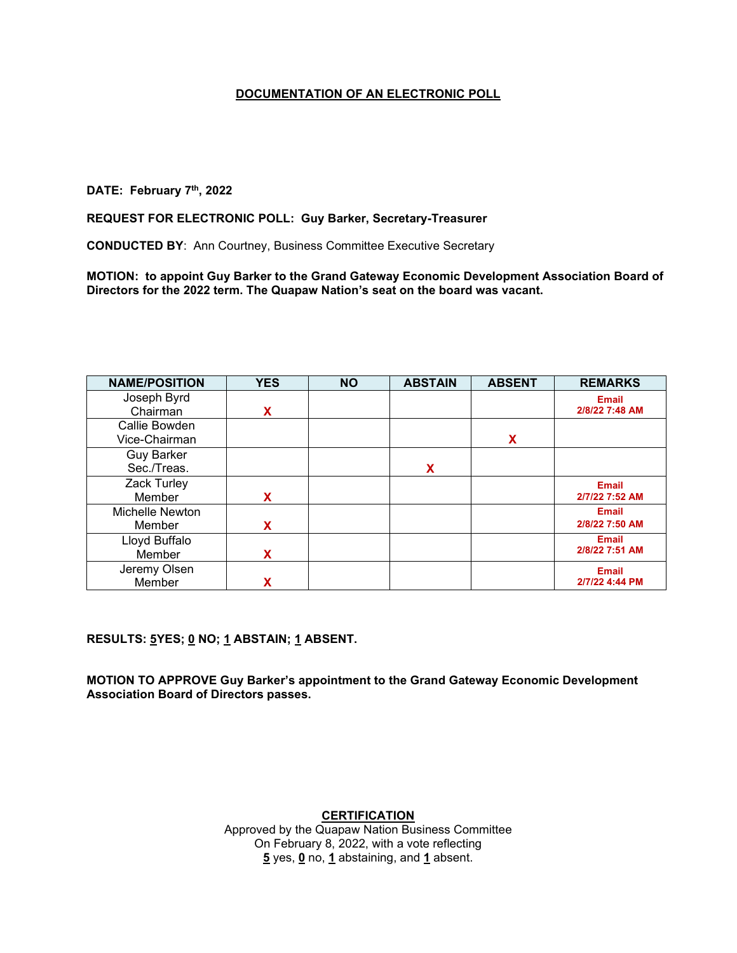# **DATE: February 7th, 2022**

#### **REQUEST FOR ELECTRONIC POLL: Guy Barker, Secretary-Treasurer**

**CONDUCTED BY**: Ann Courtney, Business Committee Executive Secretary

**MOTION: to appoint Guy Barker to the Grand Gateway Economic Development Association Board of Directors for the 2022 term. The Quapaw Nation's seat on the board was vacant.**

| <b>NAME/POSITION</b> | <b>YES</b> | <b>NO</b> | <b>ABSTAIN</b> | <b>ABSENT</b> | <b>REMARKS</b> |
|----------------------|------------|-----------|----------------|---------------|----------------|
| Joseph Byrd          |            |           |                |               | <b>Email</b>   |
| Chairman             | X          |           |                |               | 2/8/22 7:48 AM |
| Callie Bowden        |            |           |                |               |                |
| Vice-Chairman        |            |           |                | x             |                |
| <b>Guy Barker</b>    |            |           |                |               |                |
| Sec./Treas.          |            |           | X              |               |                |
| Zack Turley          |            |           |                |               | <b>Email</b>   |
| Member               | X          |           |                |               | 2/7/22 7:52 AM |
| Michelle Newton      |            |           |                |               | <b>Email</b>   |
| Member               | X          |           |                |               | 2/8/22 7:50 AM |
| Lloyd Buffalo        |            |           |                |               | <b>Email</b>   |
| Member               | x          |           |                |               | 2/8/22 7:51 AM |
| Jeremy Olsen         |            |           |                |               | <b>Email</b>   |
| Member               |            |           |                |               | 2/7/22 4:44 PM |

**RESULTS: 5YES; 0 NO; 1 ABSTAIN; 1 ABSENT.** 

**MOTION TO APPROVE Guy Barker's appointment to the Grand Gateway Economic Development Association Board of Directors passes.**

**CERTIFICATION**

Approved by the Quapaw Nation Business Committee On February 8, 2022, with a vote reflecting **5** yes, **0** no, **1** abstaining, and **1** absent.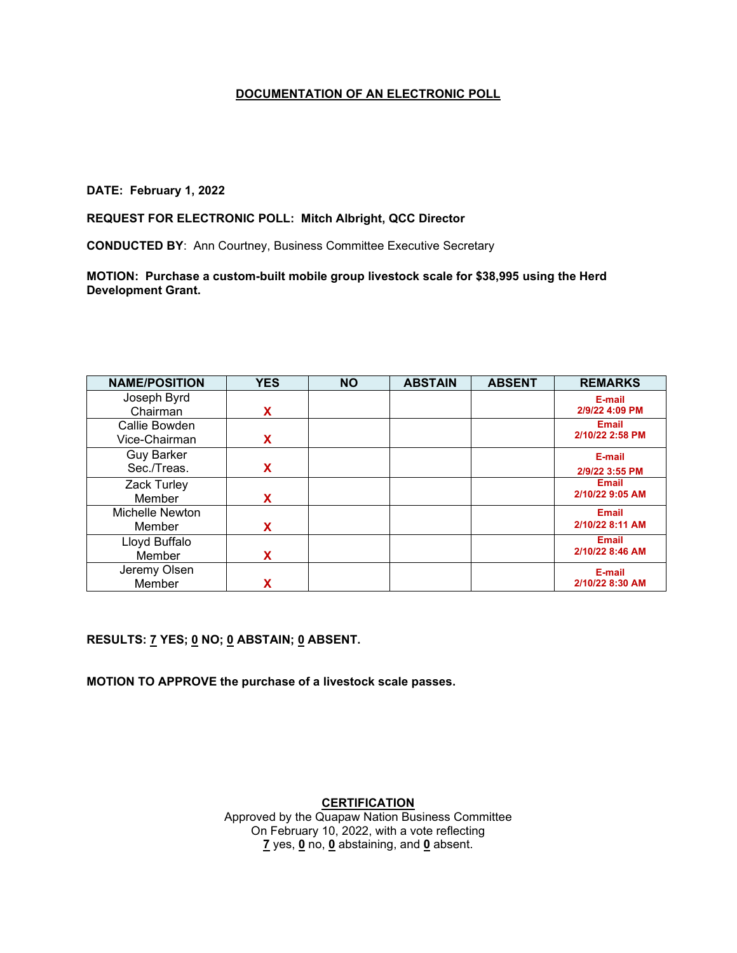## **DATE: February 1, 2022**

## **REQUEST FOR ELECTRONIC POLL: Mitch Albright, QCC Director**

**CONDUCTED BY**: Ann Courtney, Business Committee Executive Secretary

**MOTION: Purchase a custom-built mobile group livestock scale for \$38,995 using the Herd Development Grant.**

| <b>NAME/POSITION</b> | <b>YES</b> | <b>NO</b> | <b>ABSTAIN</b> | <b>ABSENT</b> | <b>REMARKS</b>  |
|----------------------|------------|-----------|----------------|---------------|-----------------|
| Joseph Byrd          |            |           |                |               | E-mail          |
| Chairman             | X          |           |                |               | 2/9/22 4:09 PM  |
| Callie Bowden        |            |           |                |               | <b>Email</b>    |
| Vice-Chairman        | X          |           |                |               | 2/10/22 2:58 PM |
| <b>Guy Barker</b>    |            |           |                |               | E-mail          |
| Sec./Treas.          | X          |           |                |               | 2/9/22 3:55 PM  |
| Zack Turley          |            |           |                |               | <b>Email</b>    |
| Member               | X          |           |                |               | 2/10/22 9:05 AM |
| Michelle Newton      |            |           |                |               | <b>Email</b>    |
| Member               | х          |           |                |               | 2/10/22 8:11 AM |
| Lloyd Buffalo        |            |           |                |               | <b>Email</b>    |
| Member               | X          |           |                |               | 2/10/22 8:46 AM |
| Jeremy Olsen         |            |           |                |               | E-mail          |
| Member               |            |           |                |               | 2/10/22 8:30 AM |

# **RESULTS: 7 YES; 0 NO; 0 ABSTAIN; 0 ABSENT.**

**MOTION TO APPROVE the purchase of a livestock scale passes.**

# **CERTIFICATION**

Approved by the Quapaw Nation Business Committee On February 10, 2022, with a vote reflecting **7** yes, **0** no, **0** abstaining, and **0** absent.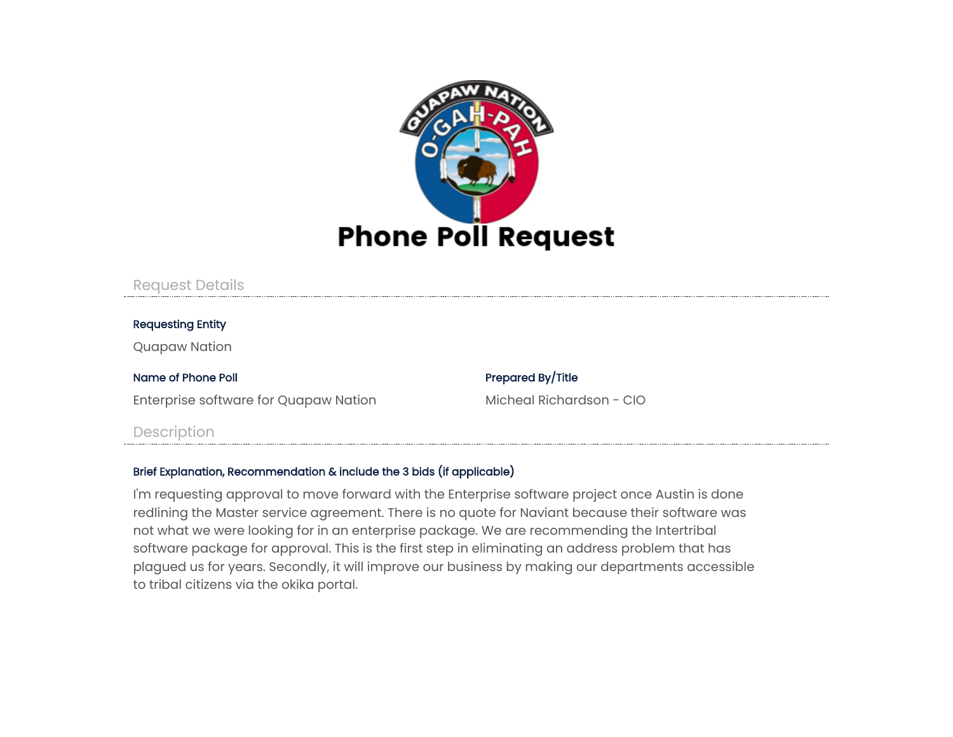

# Request Details

# Requesting Entity

Quapaw Nation

## Name of Phone Poll **Prepared By/Title**

Enterprise software for Quapaw Nation Micheal Richardson - CIO

# Description

# Brief Explanation, Recommendation & include the 3 bids (if applicable)

I'm requesting approval to move forward with the Enterprise software project once Austin is done redlining the Master service agreement. There is no quote for Naviant because their software was not what we were looking for in an enterprise package. We are recommending the Intertribal software package for approval. This is the first step in eliminating an address problem that has plagued us for years. Secondly, it will improve our business by making our departments accessible to tribal citizens via the okika portal.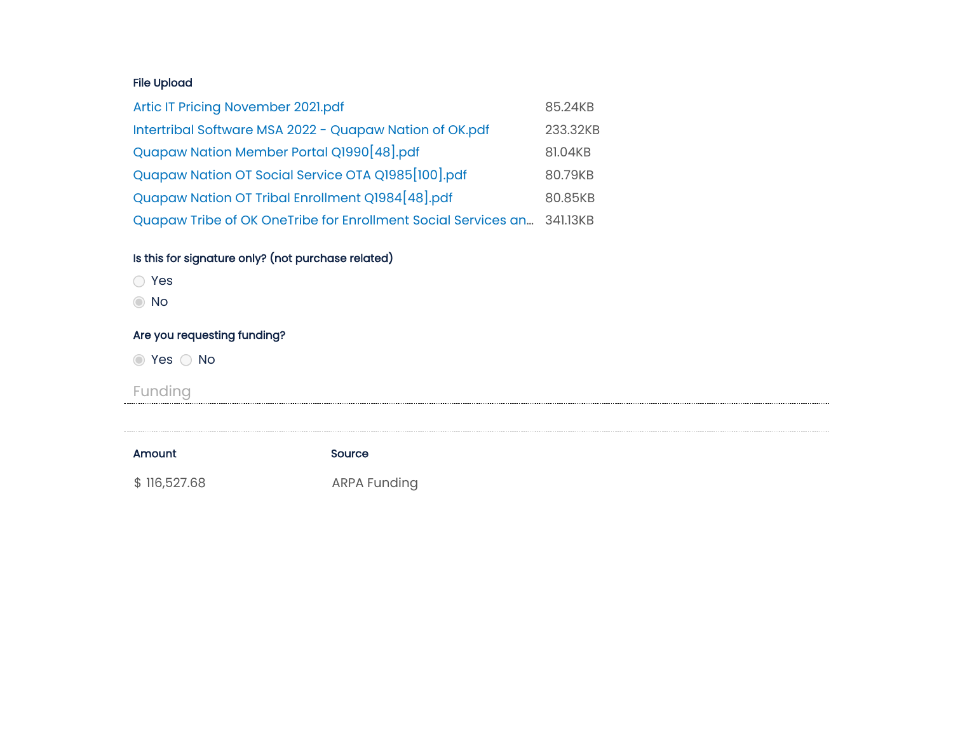# File Upload

| Artic IT Pricing November 2021.pdf                                     | 85.24KB  |
|------------------------------------------------------------------------|----------|
| Intertribal Software MSA 2022 - Quapaw Nation of OK.pdf                | 233.32KB |
| Quapaw Nation Member Portal Q1990 [48].pdf                             | 81.04KB  |
| Quapaw Nation OT Social Service OTA Q1985 [100].pdf                    | 80.79KB  |
| Quapaw Nation OT Tribal Enrollment Q1984 [48].pdf                      | 80.85KB  |
| Quapaw Tribe of OK OneTribe for Enrollment Social Services an 341.13KB |          |

# Is this for signature only? (not purchase related)

- Yes
- No

# Are you requesting funding?

**◎ Yes ○ No** 

Funding

| <b>Amount</b> | Source              |
|---------------|---------------------|
| \$116,527.68  | <b>ARPA Funding</b> |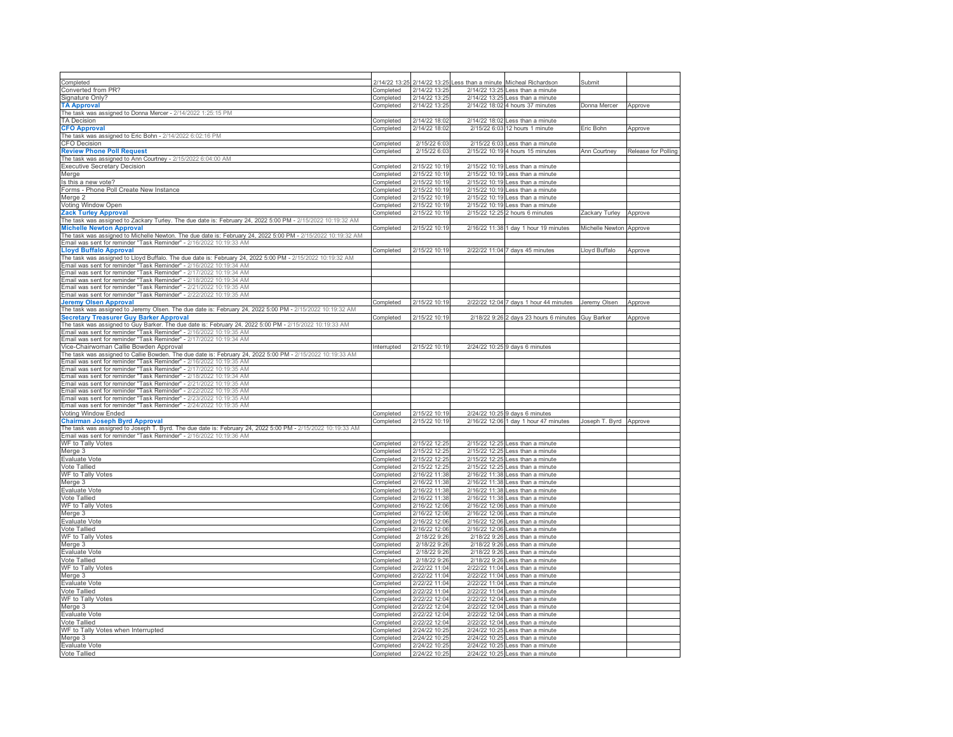| Completed                                                                                                                                  | 2/14/22 13:25          | 2/14/22 13:25                  | ess than a minute | Micheal Richardson                                                   | Submit                  |                     |
|--------------------------------------------------------------------------------------------------------------------------------------------|------------------------|--------------------------------|-------------------|----------------------------------------------------------------------|-------------------------|---------------------|
| Converted from PR?                                                                                                                         | Completed              | 2/14/22 13:25                  | 2/14/22 13:25     | Less than a minute                                                   |                         |                     |
| Signature Only?                                                                                                                            | Completed              | 2/14/22 13:25                  | 2/14/22 13:25     | Less than a minute                                                   |                         |                     |
| <b>TA Approval</b>                                                                                                                         | Completed              | 2/14/22 13:25                  |                   | 2/14/22 18:02 4 hours 37 minutes                                     | Donna Mercer            | Approve             |
| The task was assigned to Donna Mercer - 2/14/2022 1:25:15 PM                                                                               |                        |                                |                   |                                                                      |                         |                     |
| <b>TA Decision</b>                                                                                                                         | Completed              | 2/14/22 18:02                  | 2/14/22 18:02     | Less than a minute                                                   |                         |                     |
| <b>CFO Approval</b>                                                                                                                        | Completed              | 2/14/22 18:02                  | 2/15/22 6:03      | 12 hours 1 minute                                                    | Eric Bohn               | Approve             |
| The task was assigned to Eric Bohn - 2/14/2022 6:02:16 PM                                                                                  |                        |                                |                   |                                                                      |                         |                     |
| <b>CFO</b> Decision                                                                                                                        | Completed              | 2/15/22 6:03                   | 2/15/22 6:03      | Less than a minute                                                   |                         |                     |
| <b>Review Phone Poll Request</b>                                                                                                           |                        | 2/15/22 6:03                   |                   | 2/15/22 10:19 4 hours 15 minutes                                     |                         |                     |
| The task was assigned to Ann Courtney - 2/15/2022 6:04:00 AM                                                                               | Completed              |                                |                   |                                                                      | Ann Courtney            | Release for Polling |
|                                                                                                                                            |                        | 2/15/22 10:19                  | 2/15/22 10:19     |                                                                      |                         |                     |
| <b>Executive Secretary Decision</b>                                                                                                        | Completed              |                                |                   | Less than a minute                                                   |                         |                     |
| Aerge                                                                                                                                      | Completed              | 2/15/22 10:19                  | 2/15/22 10:19     | Less than a minute                                                   |                         |                     |
| s this a new vote?                                                                                                                         | Completed              | 2/15/22 10:19                  | 2/15/22 10:19     | Less than a minute                                                   |                         |                     |
| orms - Phone Poll Create New Instance                                                                                                      | Completed              | 2/15/22 10:19                  | 2/15/22 10:19     | Less than a minute                                                   |                         |                     |
| Aerge 2                                                                                                                                    | Completed              | 2/15/22 10:19                  | 2/15/22 10:19     | Less than a minute                                                   |                         |                     |
| /oting Window Open                                                                                                                         | Completed              | 2/15/22 10:19                  | 2/15/22 10:19     | Less than a minute                                                   |                         |                     |
| ack Turley Approval.                                                                                                                       | Completed              | 2/15/22 10:19                  | 2/15/22 12:25     | 2 hours 6 minutes                                                    | Zackary Turley          | Approve             |
| The task was assigned to Zackary Turley. The due date is: February 24, 2022 5:00 PM - 2/15/2022 10:19:32 AM                                |                        |                                |                   |                                                                      |                         |                     |
| <b>Michelle Newton Approval</b>                                                                                                            | Completed              | 2/15/22 10:19                  |                   | 2/16/22 11:38 1 day 1 hour 19 minutes                                | Michelle Newton Approve |                     |
| The task was assigned to Michelle Newton. The due date is: February 24, 2022 5:00 PM - 2/15/2022 10:19:32 AM                               |                        |                                |                   |                                                                      |                         |                     |
| Email was sent for reminder "Task Reminder" - 2/16/2022 10:19:33 AM                                                                        |                        |                                |                   |                                                                      |                         |                     |
| <b>Lloyd Buffalo Approval</b>                                                                                                              | Completed              | 2/15/22 10:19                  | 2/22/22 11:04     | 7 days 45 minutes                                                    | Lloyd Buffalo           | Approve             |
| The task was assigned to Lloyd Buffalo. The due date is: February 24, 2022 5:00 PM - 2/15/2022 10:19:32 AM                                 |                        |                                |                   |                                                                      |                         |                     |
| Email was sent for reminder "Task Reminder" - 2/16/2022 10:19:34 AM<br>Email was sent for reminder "Task Reminder" - 2/17/2022 10:19:34 AM |                        |                                |                   |                                                                      |                         |                     |
| mail was sent for reminder "Task Reminder" - 2/17/2022 10:19:34 AM                                                                         |                        |                                |                   |                                                                      |                         |                     |
| mail was sent for reminder "Task Reminder" - 2/18/2022 10:19:34 AM                                                                         |                        |                                |                   |                                                                      |                         |                     |
| Email was sent for reminder "Task Reminder" - 2/21/2022 10:19:35 AM                                                                        |                        |                                |                   |                                                                      |                         |                     |
| Email was sent for reminder "Task Reminder" - 2/22/2022 10:19:35 AM                                                                        |                        |                                |                   |                                                                      |                         |                     |
| <b>Jeremy Olsen Approval</b>                                                                                                               | Completed              | 2/15/22 10:19                  |                   | 2/22/22 12:04 7 days 1 hour 44 minutes                               | Jeremy Olsen            | Approve             |
| The task was assigned to Jeremy Olsen. The due date is: February 24, 2022 5:00 PM - 2/15/2022 10:19:32 AM                                  |                        |                                |                   |                                                                      |                         |                     |
| <b>Secretary Treasurer Guy Barker Approval</b>                                                                                             | Completed              | 2/15/22 10:19                  |                   | 2/18/22 9:26 2 days 23 hours 6 minutes                               | Guy Barker              | Approve             |
| The task was assigned to Guy Barker. The due date is: February 24, 2022 5:00 PM - 2/15/2022 10:19:33 AM                                    |                        |                                |                   |                                                                      |                         |                     |
| Email was sent for reminder "Task Reminder" - 2/16/2022 10:19:35 AM                                                                        |                        |                                |                   |                                                                      |                         |                     |
| Email was sent for reminder "Task Reminder" - 2/17/2022 10:19:34 AM                                                                        |                        |                                |                   |                                                                      |                         |                     |
| /ice-Chairwoman Callie Bowden Approval                                                                                                     | Interrupted            | 2/15/22 10:19                  |                   | 2/24/22 10:25 9 days 6 minutes                                       |                         |                     |
| he task was assigned to Callie Bowden. The due date is: February 24, 2022 5:00 PM - 2/15/2022 10:19:33 AM                                  |                        |                                |                   |                                                                      |                         |                     |
| Imail was sent for reminder "Task Reminder" - 2/16/2022 10:19:35 AM                                                                        |                        |                                |                   |                                                                      |                         |                     |
| Imail was sent for reminder "Task Reminder" - 2/17/2022 10:19:35 AM                                                                        |                        |                                |                   |                                                                      |                         |                     |
| Imail was sent for reminder "Task Reminder" - 2/18/2022 10:19:34 AM                                                                        |                        |                                |                   |                                                                      |                         |                     |
| imail was sent for reminder "Task Reminder" - 2/21/2022 10:19:35 AM                                                                        |                        |                                |                   |                                                                      |                         |                     |
| Email was sent for reminder "Task Reminder" - 2/22/2022 10:19:35 AM                                                                        |                        |                                |                   |                                                                      |                         |                     |
| mail was sent for reminder "Task Reminder" - 2/23/2022 10:19:35 AM                                                                         |                        |                                |                   |                                                                      |                         |                     |
| Imail was sent for reminder "Task Reminder" - 2/24/2022 10:19:35 AM                                                                        |                        |                                |                   |                                                                      |                         |                     |
| /oting Window Ended                                                                                                                        | Completed              | 2/15/22 10:19                  |                   | 2/24/22 10:25 9 days 6 minutes                                       |                         |                     |
| <b>Chairman Joseph Byrd Approval</b>                                                                                                       | Completed              | 2/15/22 10:19                  |                   | 2/16/22 12:06 1 day 1 hour 47 minutes                                | Joseph T. Byrd Approve  |                     |
| The task was assigned to Joseph T. Byrd. The due date is: February 24, 2022 5:00 PM - 2/15/2022 10:19:33 AM                                |                        |                                |                   |                                                                      |                         |                     |
| Email was sent for reminder "Task Reminder" - 2/16/2022 10:19:36 AM                                                                        |                        |                                |                   |                                                                      |                         |                     |
| WF to Tally Votes                                                                                                                          | Completed              | 2/15/22 12:25                  | 2/15/22 12:25     | Less than a minute                                                   |                         |                     |
| Merge 3                                                                                                                                    | Completed              | 2/15/22 12:25                  | 2/15/22 12:25     | Less than a minute                                                   |                         |                     |
| Evaluate Vote                                                                                                                              | Completed              | 2/15/22 12:25                  | 2/15/22 12:25     | Less than a minute                                                   |                         |                     |
| Vote Tallied                                                                                                                               | Completed              | 2/15/22 12:25                  | 2/15/22 12:25     | Less than a minute                                                   |                         |                     |
| WF to Tally Votes                                                                                                                          | Completed              | 2/16/22 11:38                  |                   | 2/16/22 11:38 Less than a minute                                     |                         |                     |
| Merge 3                                                                                                                                    | Completed              | 2/16/22 11:38                  |                   | 2/16/22 11:38 Less than a minute                                     |                         |                     |
| Evaluate Vote                                                                                                                              | Completed              | 2/16/22 11:38                  |                   | 2/16/22 11:38 Less than a minute                                     |                         |                     |
| Vote Tallied                                                                                                                               | Completed              | 2/16/22 11:38                  |                   | 2/16/22 11:38 Less than a minute                                     |                         |                     |
| WF to Tally Votes                                                                                                                          | Completed              | 2/16/22 12:06                  | 2/16/22 12:06     | Less than a minute                                                   |                         |                     |
| Merge 3                                                                                                                                    | Completed              | 2/16/22 12:06                  | 2/16/22 12:06     | Less than a minute                                                   |                         |                     |
| Evaluate Vote                                                                                                                              | Completed              | 2/16/22 12:06                  | 2/16/22 12:06     | Less than a minute                                                   |                         |                     |
| Vote Tallied                                                                                                                               | Completed              | 2/16/22 12:06                  | 2/16/22 12:06     | Less than a minute                                                   |                         |                     |
| WF to Tally Votes                                                                                                                          | Completed              | 2/18/22 9:26                   | 2/18/22 9:26      | Less than a minute                                                   |                         |                     |
| Merge 3                                                                                                                                    | Completed              | 2/18/22 9:26                   | 2/18/22 9:26      | Less than a minute                                                   |                         |                     |
| Evaluate Vote                                                                                                                              | Completed              | 2/18/22 9:26                   | 2/18/22 9:26      | Less than a minute                                                   |                         |                     |
| Vote Tallied                                                                                                                               | Completed              | 2/18/22 9:26                   |                   | 2/18/22 9:26 Less than a minute                                      |                         |                     |
| WF to Tally Votes                                                                                                                          |                        | 2/22/22 11:04                  |                   | 2/22/22 11:04 Less than a minute                                     |                         |                     |
| Merge 3                                                                                                                                    | Completed              | 2/22/22 11:04                  |                   |                                                                      |                         |                     |
|                                                                                                                                            | Completed              |                                |                   | 2/22/22 11:04 Less than a minute                                     |                         |                     |
| Evaluate Vote                                                                                                                              | Completed              | 2/22/22 11:04                  |                   | 2/22/22 11:04 Less than a minute                                     |                         |                     |
| Vote Tallied                                                                                                                               | Completed              | 2/22/22 11:04                  |                   | 2/22/22 11:04 Less than a minute                                     |                         |                     |
| WF to Tally Votes                                                                                                                          | Completed              | 2/22/22 12:04                  |                   | 2/22/22 12:04 Less than a minute                                     |                         |                     |
| Merge 3                                                                                                                                    | Completed              | 2/22/22 12:04                  |                   | 2/22/22 12:04 Less than a minute                                     |                         |                     |
| Evaluate Vote                                                                                                                              | Completed              | 2/22/22 12:04                  |                   | 2/22/22 12:04 Less than a minute                                     |                         |                     |
| Vote Tallied                                                                                                                               |                        |                                |                   |                                                                      |                         |                     |
|                                                                                                                                            | Completed              | 2/22/22 12:04                  |                   | 2/22/22 12:04 Less than a minute                                     |                         |                     |
| WF to Tally Votes when Interrupted                                                                                                         | Completed              | 2/24/22 10:25                  | 2/24/22 10:25     | Less than a minute                                                   |                         |                     |
| Merge 3                                                                                                                                    | Completed              | 2/24/22 10:25                  | 2/24/22 10:25     | Less than a minute                                                   |                         |                     |
| Evaluate Vote<br>Vote Tallied                                                                                                              | Completed<br>Completed | 2/24/22 10:25<br>2/24/22 10:25 |                   | 2/24/22 10:25 Less than a minute<br>2/24/22 10:25 Less than a minute |                         |                     |